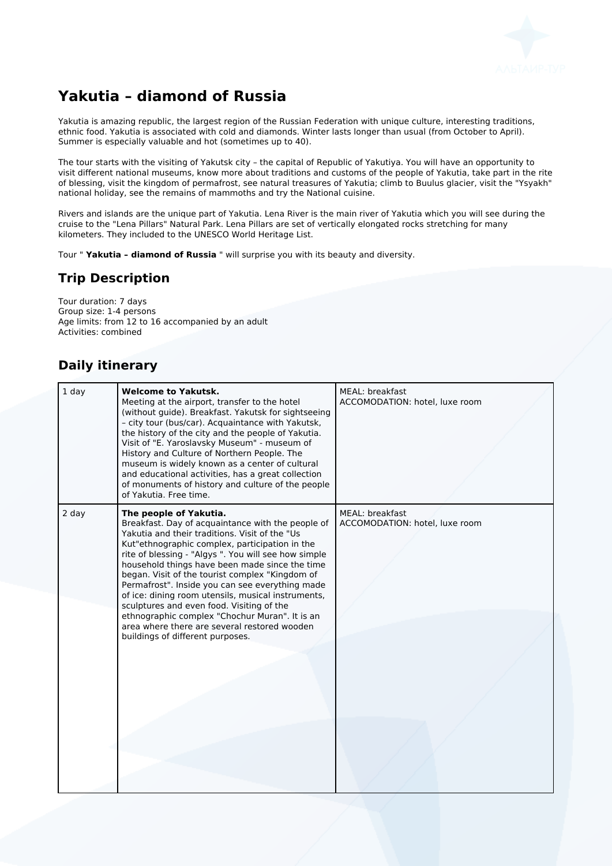

# **Yakutia – diamond of Russia**

Yakutia is amazing republic, the largest region of the Russian Federation with unique culture, interesting traditions, ethnic food. Yakutia is associated with cold and diamonds. Winter lasts longer than usual (from October to April). Summer is especially valuable and hot (sometimes up to 40).

The tour starts with the visiting of Yakutsk city – the capital of Republic of Yakutiya. You will have an opportunity to visit different national museums, know more about traditions and customs of the people of Yakutia, take part in the rite of blessing, visit the kingdom of permafrost, see natural treasures of Yakutia; climb to Buulus glacier, visit the "Ysyakh" national holiday, see the remains of mammoths and try the National cuisine.

Rivers and islands are the unique part of Yakutia. Lena River is the main river of Yakutia which you will see during the cruise to the "Lena Pillars" Natural Park. Lena Pillars are set of vertically elongated rocks stretching for many kilometers. They included to the UNESCO World Heritage List.

Tour " **Yakutia – diamond of Russia** " will surprise you with its beauty and diversity.

#### **Trip Description**

Tour duration: 7 days Group size: 1-4 persons Age limits: from 12 to 16 accompanied by an adult Activities: combined

### **Daily itinerary**

| $1$ day | <b>Welcome to Yakutsk.</b><br>Meeting at the airport, transfer to the hotel<br>(without guide). Breakfast. Yakutsk for sightseeing<br>- city tour (bus/car). Acquaintance with Yakutsk,<br>the history of the city and the people of Yakutia.<br>Visit of "E. Yaroslavsky Museum" - museum of<br>History and Culture of Northern People. The<br>museum is widely known as a center of cultural<br>and educational activities, has a great collection<br>of monuments of history and culture of the people<br>of Yakutia. Free time.                                                                                                      | MEAL: breakfast<br>ACCOMODATION: hotel, luxe room |
|---------|------------------------------------------------------------------------------------------------------------------------------------------------------------------------------------------------------------------------------------------------------------------------------------------------------------------------------------------------------------------------------------------------------------------------------------------------------------------------------------------------------------------------------------------------------------------------------------------------------------------------------------------|---------------------------------------------------|
| $2$ day | The people of Yakutia.<br>Breakfast. Day of acquaintance with the people of<br>Yakutia and their traditions. Visit of the "Us<br>Kut"ethnographic complex, participation in the<br>rite of blessing - "Algys ". You will see how simple<br>household things have been made since the time<br>began. Visit of the tourist complex "Kingdom of<br>Permafrost". Inside you can see everything made<br>of ice: dining room utensils, musical instruments,<br>sculptures and even food. Visiting of the<br>ethnographic complex "Chochur Muran". It is an<br>area where there are several restored wooden<br>buildings of different purposes. | MEAL: breakfast<br>ACCOMODATION: hotel, luxe room |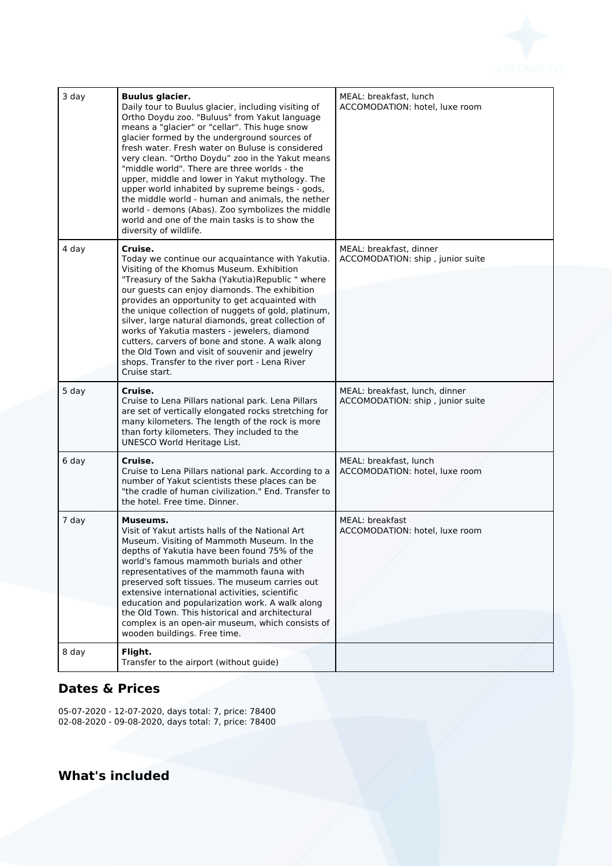

| 3 day | <b>Buulus glacier.</b><br>Daily tour to Buulus glacier, including visiting of<br>Ortho Doydu zoo. "Buluus" from Yakut language<br>means a "glacier" or "cellar". This huge snow<br>glacier formed by the underground sources of<br>fresh water. Fresh water on Buluse is considered<br>very clean. "Ortho Doydu" zoo in the Yakut means<br>"middle world". There are three worlds - the<br>upper, middle and lower in Yakut mythology. The<br>upper world inhabited by supreme beings - gods,<br>the middle world - human and animals, the nether<br>world - demons (Abas). Zoo symbolizes the middle<br>world and one of the main tasks is to show the<br>diversity of wildlife. | MEAL: breakfast, lunch<br>ACCOMODATION: hotel. luxe room           |
|-------|-----------------------------------------------------------------------------------------------------------------------------------------------------------------------------------------------------------------------------------------------------------------------------------------------------------------------------------------------------------------------------------------------------------------------------------------------------------------------------------------------------------------------------------------------------------------------------------------------------------------------------------------------------------------------------------|--------------------------------------------------------------------|
| 4 day | Cruise.<br>Today we continue our acquaintance with Yakutia.<br>Visiting of the Khomus Museum. Exhibition<br>"Treasury of the Sakha (Yakutia) Republic " where<br>our guests can enjoy diamonds. The exhibition<br>provides an opportunity to get acquainted with<br>the unique collection of nuggets of gold, platinum,<br>silver, large natural diamonds, great collection of<br>works of Yakutia masters - jewelers, diamond<br>cutters, carvers of bone and stone. A walk along<br>the Old Town and visit of souvenir and jewelry<br>shops. Transfer to the river port - Lena River<br>Cruise start.                                                                           | MEAL: breakfast, dinner<br>ACCOMODATION: ship, junior suite        |
| 5 day | Cruise.<br>Cruise to Lena Pillars national park. Lena Pillars<br>are set of vertically elongated rocks stretching for<br>many kilometers. The length of the rock is more<br>than forty kilometers. They included to the<br>UNESCO World Heritage List.                                                                                                                                                                                                                                                                                                                                                                                                                            | MEAL: breakfast, lunch, dinner<br>ACCOMODATION: ship, junior suite |
| 6 day | Cruise.<br>Cruise to Lena Pillars national park. According to a<br>number of Yakut scientists these places can be<br>"the cradle of human civilization." End. Transfer to<br>the hotel. Free time. Dinner.                                                                                                                                                                                                                                                                                                                                                                                                                                                                        | MEAL: breakfast, lunch<br>ACCOMODATION: hotel, luxe room           |
| 7 day | Museums.<br>Visit of Yakut artists halls of the National Art<br>Museum. Visiting of Mammoth Museum. In the<br>depths of Yakutia have been found 75% of the<br>world's famous mammoth burials and other<br>representatives of the mammoth fauna with<br>preserved soft tissues. The museum carries out<br>extensive international activities, scientific<br>education and popularization work. A walk along<br>the Old Town. This historical and architectural<br>complex is an open-air museum, which consists of<br>wooden buildings. Free time.                                                                                                                                 | MEAL: breakfast<br>ACCOMODATION: hotel, luxe room                  |
| 8 day | Flight.<br>Transfer to the airport (without guide)                                                                                                                                                                                                                                                                                                                                                                                                                                                                                                                                                                                                                                |                                                                    |

## **Dates & Prices**

05-07-2020 - 12-07-2020, days total: 7, price: 78400 02-08-2020 - 09-08-2020, days total: 7, price: 78400

**What's included**